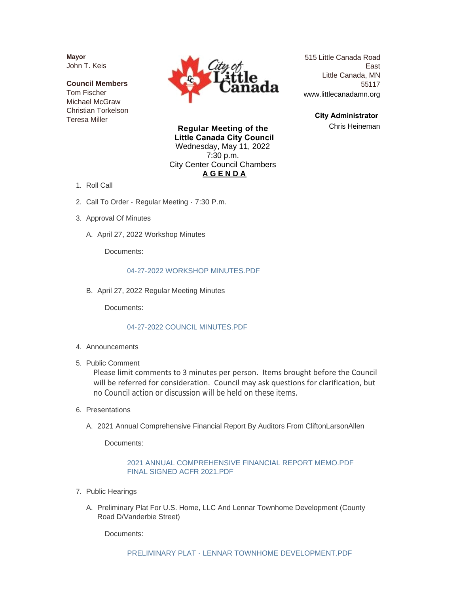**Mayor** John T. Keis

**Council Members** Tom Fischer Michael McGraw Christian Torkelson Teresa Miller



515 Little Canada Road East Little Canada, MN 55117 www.littlecanadamn.org

> **City Administrator**  Chris Heineman

**Regular Meeting of the Little Canada City Council** Wednesday, May 11, 2022 7:30 p.m. City Center Council Chambers **A G E N D A**

- 1. Roll Call
- 2. Call To Order Regular Meeting 7:30 P.m.
- 3. Approval Of Minutes
	- A. April 27, 2022 Workshop Minutes

Documents:

# [04-27-2022 WORKSHOP MINUTES.PDF](http://www.littlecanadamn.org/AgendaCenter/ViewFile/Item/4011?fileID=3763)

B. April 27, 2022 Regular Meeting Minutes

Documents:

# [04-27-2022 COUNCIL MINUTES.PDF](http://www.littlecanadamn.org/AgendaCenter/ViewFile/Item/4012?fileID=3773)

- 4. Announcements
- 5. Public Comment

Please limit comments to 3 minutes per person. Items brought before the Council will be referred for consideration. Council may ask questions for clarification, but no Council action or discussion will be held on these items.

- 6. Presentations
	- A. 2021 Annual Comprehensive Financial Report By Auditors From CliftonLarsonAllen

Documents:

# [2021 ANNUAL COMPREHENSIVE FINANCIAL REPORT MEMO.PDF](http://www.littlecanadamn.org/AgendaCenter/ViewFile/Item/4016?fileID=3765) [FINAL SIGNED ACFR 2021.PDF](http://www.littlecanadamn.org/AgendaCenter/ViewFile/Item/4016?fileID=3766)

- 7. Public Hearings
	- A. Preliminary Plat For U.S. Home, LLC And Lennar Townhome Development (County Road D/Vanderbie Street)

Documents: